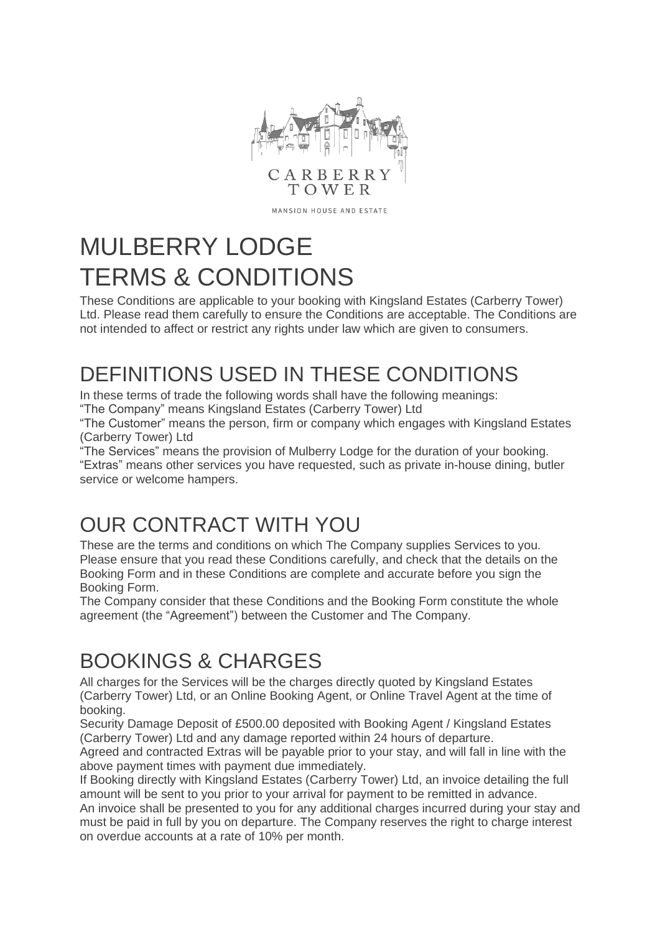

MANSION HOUSE AND ESTATE

# MULBERRY LODGE TERMS & CONDITIONS

These Conditions are applicable to your booking with Kingsland Estates (Carberry Tower) Ltd. Please read them carefully to ensure the Conditions are acceptable. The Conditions are not intended to affect or restrict any rights under law which are given to consumers.

## DEFINITIONS USED IN THESE CONDITIONS

In these terms of trade the following words shall have the following meanings:

"The Company" means Kingsland Estates (Carberry Tower) Ltd

"The Customer" means the person, firm or company which engages with Kingsland Estates (Carberry Tower) Ltd

"The Services" means the provision of Mulberry Lodge for the duration of your booking. "Extras" means other services you have requested, such as private in-house dining, butler service or welcome hampers.

## OUR CONTRACT WITH YOU

These are the terms and conditions on which The Company supplies Services to you. Please ensure that you read these Conditions carefully, and check that the details on the Booking Form and in these Conditions are complete and accurate before you sign the Booking Form.

The Company consider that these Conditions and the Booking Form constitute the whole agreement (the "Agreement") between the Customer and The Company.

## BOOKINGS & CHARGES

All charges for the Services will be the charges directly quoted by Kingsland Estates (Carberry Tower) Ltd, or an Online Booking Agent, or Online Travel Agent at the time of booking.

Security Damage Deposit of £500.00 deposited with Booking Agent / Kingsland Estates (Carberry Tower) Ltd and any damage reported within 24 hours of departure.

Agreed and contracted Extras will be payable prior to your stay, and will fall in line with the above payment times with payment due immediately.

If Booking directly with Kingsland Estates (Carberry Tower) Ltd, an invoice detailing the full amount will be sent to you prior to your arrival for payment to be remitted in advance. An invoice shall be presented to you for any additional charges incurred during your stay and must be paid in full by you on departure. The Company reserves the right to charge interest on overdue accounts at a rate of 10% per month.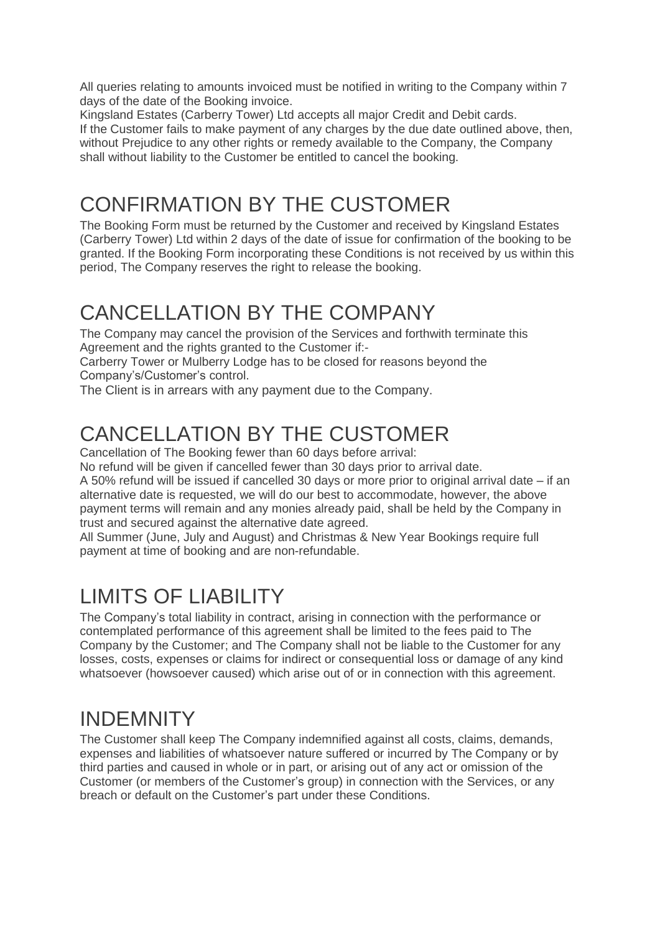All queries relating to amounts invoiced must be notified in writing to the Company within 7 days of the date of the Booking invoice.

Kingsland Estates (Carberry Tower) Ltd accepts all major Credit and Debit cards. If the Customer fails to make payment of any charges by the due date outlined above, then, without Prejudice to any other rights or remedy available to the Company, the Company shall without liability to the Customer be entitled to cancel the booking.

## CONFIRMATION BY THE CUSTOMER

The Booking Form must be returned by the Customer and received by Kingsland Estates (Carberry Tower) Ltd within 2 days of the date of issue for confirmation of the booking to be granted. If the Booking Form incorporating these Conditions is not received by us within this period, The Company reserves the right to release the booking.

#### CANCELLATION BY THE COMPANY

The Company may cancel the provision of the Services and forthwith terminate this Agreement and the rights granted to the Customer if:-

Carberry Tower or Mulberry Lodge has to be closed for reasons beyond the Company's/Customer's control.

The Client is in arrears with any payment due to the Company.

## CANCELLATION BY THE CUSTOMER

Cancellation of The Booking fewer than 60 days before arrival:

No refund will be given if cancelled fewer than 30 days prior to arrival date.

A 50% refund will be issued if cancelled 30 days or more prior to original arrival date – if an alternative date is requested, we will do our best to accommodate, however, the above payment terms will remain and any monies already paid, shall be held by the Company in trust and secured against the alternative date agreed.

All Summer (June, July and August) and Christmas & New Year Bookings require full payment at time of booking and are non-refundable.

### LIMITS OF LIABILITY

The Company's total liability in contract, arising in connection with the performance or contemplated performance of this agreement shall be limited to the fees paid to The Company by the Customer; and The Company shall not be liable to the Customer for any losses, costs, expenses or claims for indirect or consequential loss or damage of any kind whatsoever (howsoever caused) which arise out of or in connection with this agreement.

#### INDEMNITY

The Customer shall keep The Company indemnified against all costs, claims, demands, expenses and liabilities of whatsoever nature suffered or incurred by The Company or by third parties and caused in whole or in part, or arising out of any act or omission of the Customer (or members of the Customer's group) in connection with the Services, or any breach or default on the Customer's part under these Conditions.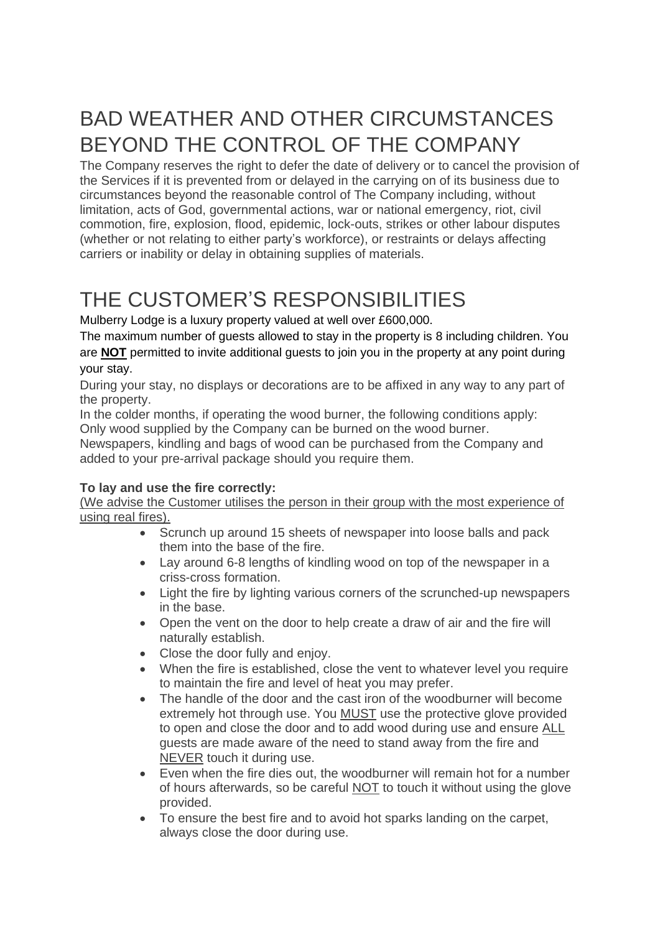## BAD WEATHER AND OTHER CIRCUMSTANCES BEYOND THE CONTROL OF THE COMPANY

The Company reserves the right to defer the date of delivery or to cancel the provision of the Services if it is prevented from or delayed in the carrying on of its business due to circumstances beyond the reasonable control of The Company including, without limitation, acts of God, governmental actions, war or national emergency, riot, civil commotion, fire, explosion, flood, epidemic, lock-outs, strikes or other labour disputes (whether or not relating to either party's workforce), or restraints or delays affecting carriers or inability or delay in obtaining supplies of materials.

## THE CUSTOMER'S RESPONSIBILITIES

Mulberry Lodge is a luxury property valued at well over £600,000.

The maximum number of guests allowed to stay in the property is 8 including children. You are **NOT** permitted to invite additional guests to join you in the property at any point during your stay.

During your stay, no displays or decorations are to be affixed in any way to any part of the property.

In the colder months, if operating the wood burner, the following conditions apply: Only wood supplied by the Company can be burned on the wood burner.

Newspapers, kindling and bags of wood can be purchased from the Company and added to your pre-arrival package should you require them.

#### **To lay and use the fire correctly:**

(We advise the Customer utilises the person in their group with the most experience of using real fires).

- Scrunch up around 15 sheets of newspaper into loose balls and pack them into the base of the fire.
- Lay around 6-8 lengths of kindling wood on top of the newspaper in a criss-cross formation.
- Light the fire by lighting various corners of the scrunched-up newspapers in the base.
- Open the vent on the door to help create a draw of air and the fire will naturally establish.
- Close the door fully and enjoy.
- When the fire is established, close the vent to whatever level you require to maintain the fire and level of heat you may prefer.
- The handle of the door and the cast iron of the woodburner will become extremely hot through use. You MUST use the protective glove provided to open and close the door and to add wood during use and ensure ALL guests are made aware of the need to stand away from the fire and NEVER touch it during use.
- Even when the fire dies out, the woodburner will remain hot for a number of hours afterwards, so be careful NOT to touch it without using the glove provided.
- To ensure the best fire and to avoid hot sparks landing on the carpet, always close the door during use.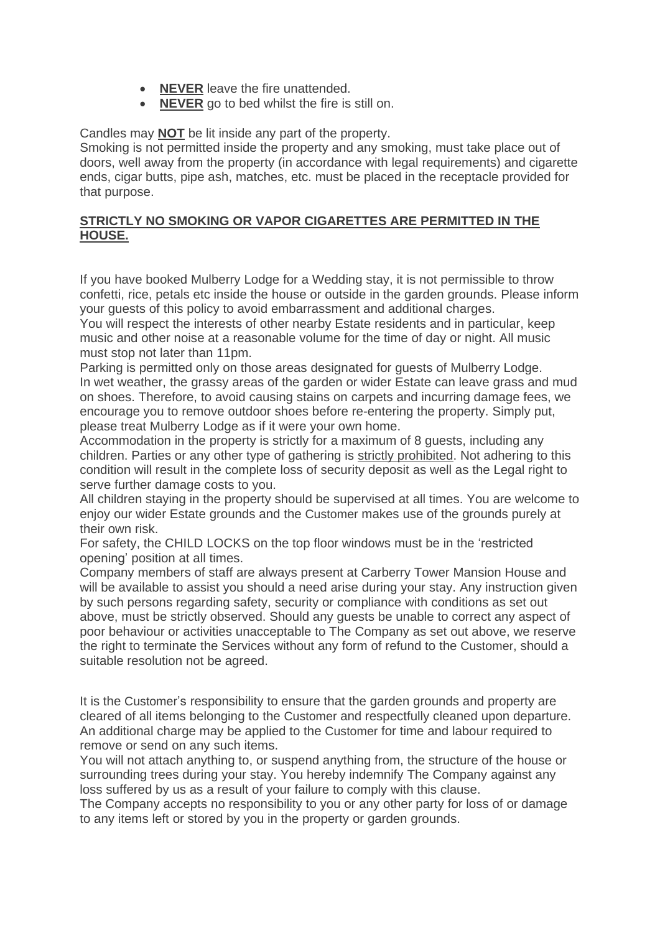- **NEVER** leave the fire unattended.
- **NEVER** go to bed whilst the fire is still on.

#### Candles may **NOT** be lit inside any part of the property.

Smoking is not permitted inside the property and any smoking, must take place out of doors, well away from the property (in accordance with legal requirements) and cigarette ends, cigar butts, pipe ash, matches, etc. must be placed in the receptacle provided for that purpose.

#### **STRICTLY NO SMOKING OR VAPOR CIGARETTES ARE PERMITTED IN THE HOUSE.**

If you have booked Mulberry Lodge for a Wedding stay, it is not permissible to throw confetti, rice, petals etc inside the house or outside in the garden grounds. Please inform your guests of this policy to avoid embarrassment and additional charges.

You will respect the interests of other nearby Estate residents and in particular, keep music and other noise at a reasonable volume for the time of day or night. All music must stop not later than 11pm.

Parking is permitted only on those areas designated for guests of Mulberry Lodge. In wet weather, the grassy areas of the garden or wider Estate can leave grass and mud on shoes. Therefore, to avoid causing stains on carpets and incurring damage fees, we encourage you to remove outdoor shoes before re-entering the property. Simply put, please treat Mulberry Lodge as if it were your own home.

Accommodation in the property is strictly for a maximum of 8 guests, including any children. Parties or any other type of gathering is strictly prohibited. Not adhering to this condition will result in the complete loss of security deposit as well as the Legal right to serve further damage costs to you.

All children staying in the property should be supervised at all times. You are welcome to enjoy our wider Estate grounds and the Customer makes use of the grounds purely at their own risk.

For safety, the CHILD LOCKS on the top floor windows must be in the 'restricted opening' position at all times.

Company members of staff are always present at Carberry Tower Mansion House and will be available to assist you should a need arise during your stay. Any instruction given by such persons regarding safety, security or compliance with conditions as set out above, must be strictly observed. Should any guests be unable to correct any aspect of poor behaviour or activities unacceptable to The Company as set out above, we reserve the right to terminate the Services without any form of refund to the Customer, should a suitable resolution not be agreed.

It is the Customer's responsibility to ensure that the garden grounds and property are cleared of all items belonging to the Customer and respectfully cleaned upon departure. An additional charge may be applied to the Customer for time and labour required to remove or send on any such items.

You will not attach anything to, or suspend anything from, the structure of the house or surrounding trees during your stay. You hereby indemnify The Company against any loss suffered by us as a result of your failure to comply with this clause.

The Company accepts no responsibility to you or any other party for loss of or damage to any items left or stored by you in the property or garden grounds.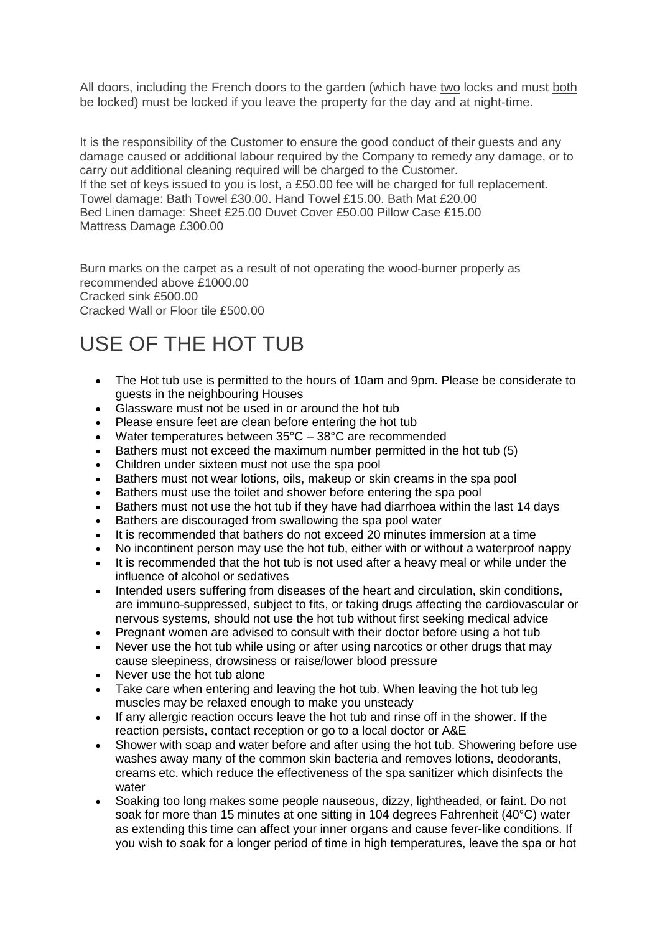All doors, including the French doors to the garden (which have two locks and must both be locked) must be locked if you leave the property for the day and at night-time.

It is the responsibility of the Customer to ensure the good conduct of their guests and any damage caused or additional labour required by the Company to remedy any damage, or to carry out additional cleaning required will be charged to the Customer. If the set of keys issued to you is lost, a £50.00 fee will be charged for full replacement. Towel damage: Bath Towel £30.00. Hand Towel £15.00. Bath Mat £20.00 Bed Linen damage: Sheet £25.00 Duvet Cover £50.00 Pillow Case £15.00 Mattress Damage £300.00

Burn marks on the carpet as a result of not operating the wood-burner properly as recommended above £1000.00 Cracked sink £500.00 Cracked Wall or Floor tile £500.00

## USE OF THE HOT TUB

- The Hot tub use is permitted to the hours of 10am and 9pm. Please be considerate to guests in the neighbouring Houses
- Glassware must not be used in or around the hot tub
- Please ensure feet are clean before entering the hot tub
- Water temperatures between  $35^{\circ}$ C  $38^{\circ}$ C are recommended
- Bathers must not exceed the maximum number permitted in the hot tub (5)
- Children under sixteen must not use the spa pool
- Bathers must not wear lotions, oils, makeup or skin creams in the spa pool
- Bathers must use the toilet and shower before entering the spa pool
- Bathers must not use the hot tub if they have had diarrhoea within the last 14 days
- Bathers are discouraged from swallowing the spa pool water
- It is recommended that bathers do not exceed 20 minutes immersion at a time
- No incontinent person may use the hot tub, either with or without a waterproof nappy
- It is recommended that the hot tub is not used after a heavy meal or while under the influence of alcohol or sedatives
- Intended users suffering from diseases of the heart and circulation, skin conditions, are immuno-suppressed, subject to fits, or taking drugs affecting the cardiovascular or nervous systems, should not use the hot tub without first seeking medical advice
- Pregnant women are advised to consult with their doctor before using a hot tub
- Never use the hot tub while using or after using narcotics or other drugs that may cause sleepiness, drowsiness or raise/lower blood pressure
- Never use the hot tub alone
- Take care when entering and leaving the hot tub. When leaving the hot tub leg muscles may be relaxed enough to make you unsteady
- If any allergic reaction occurs leave the hot tub and rinse off in the shower. If the reaction persists, contact reception or go to a local doctor or A&E
- Shower with soap and water before and after using the hot tub. Showering before use washes away many of the common skin bacteria and removes lotions, deodorants, creams etc. which reduce the effectiveness of the spa sanitizer which disinfects the water
- Soaking too long makes some people nauseous, dizzy, lightheaded, or faint. Do not soak for more than 15 minutes at one sitting in 104 degrees Fahrenheit (40°C) water as extending this time can affect your inner organs and cause fever-like conditions. If you wish to soak for a longer period of time in high temperatures, leave the spa or hot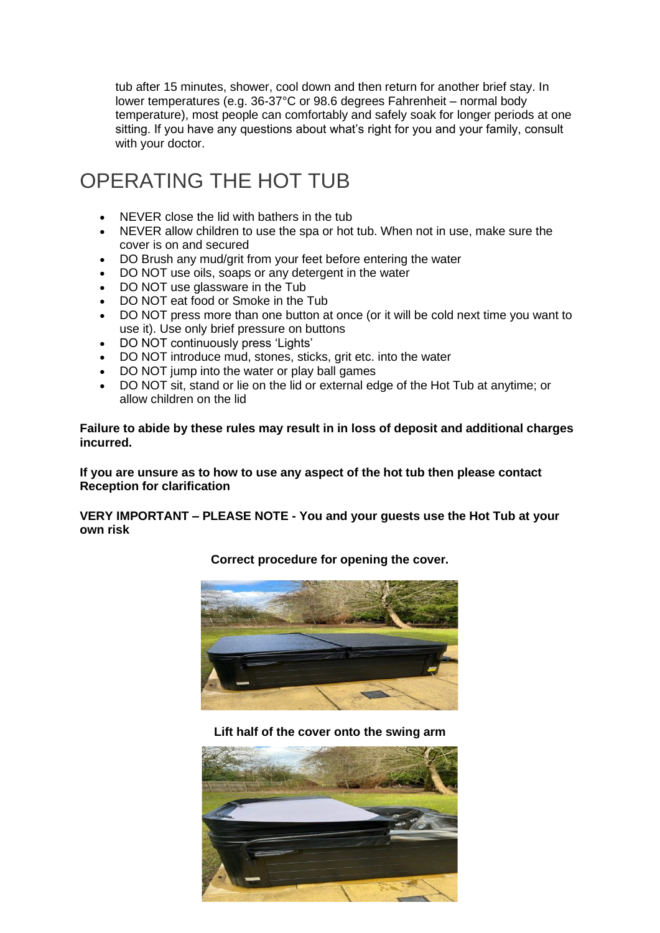tub after 15 minutes, shower, cool down and then return for another brief stay. In lower temperatures (e.g. 36-37°C or 98.6 degrees Fahrenheit – normal body temperature), most people can comfortably and safely soak for longer periods at one sitting. If you have any questions about what's right for you and your family, consult with your doctor.

### OPERATING THE HOT TUB

- NEVER close the lid with bathers in the tub
- NEVER allow children to use the spa or hot tub. When not in use, make sure the cover is on and secured
- DO Brush any mud/grit from your feet before entering the water
- DO NOT use oils, soaps or any detergent in the water
- DO NOT use glassware in the Tub
- DO NOT eat food or Smoke in the Tub
- DO NOT press more than one button at once (or it will be cold next time you want to use it). Use only brief pressure on buttons
- DO NOT continuously press 'Lights'
- DO NOT introduce mud, stones, sticks, grit etc. into the water
- DO NOT jump into the water or play ball games
- DO NOT sit, stand or lie on the lid or external edge of the Hot Tub at anytime; or allow children on the lid

**Failure to abide by these rules may result in in loss of deposit and additional charges incurred.**

**If you are unsure as to how to use any aspect of the hot tub then please contact Reception for clarification**

**VERY IMPORTANT – PLEASE NOTE - You and your guests use the Hot Tub at your own risk**



**Correct procedure for opening the cover.**

**Lift half of the cover onto the swing arm**

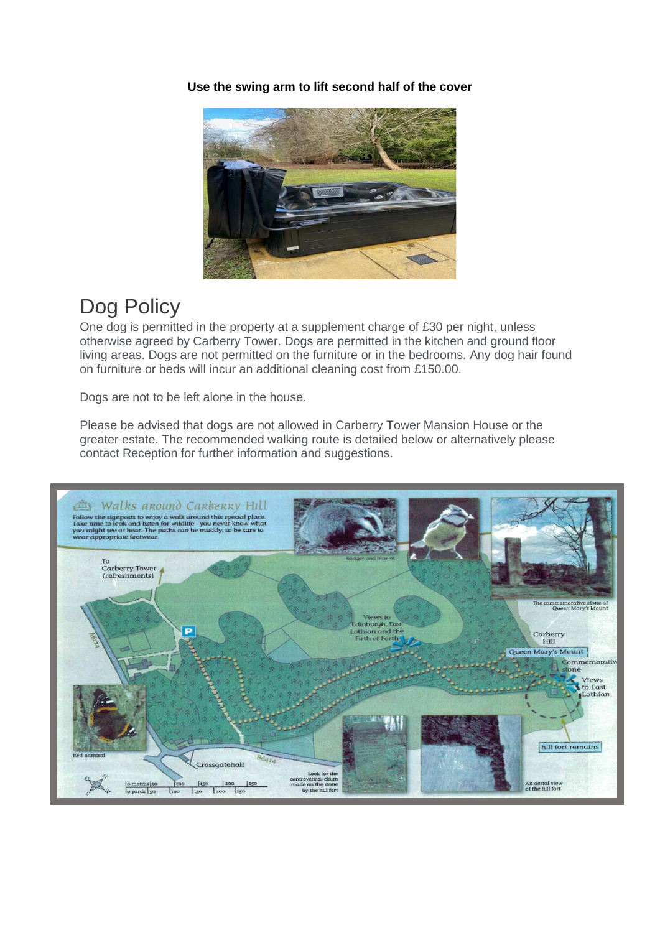**Use the swing arm to lift second half of the cover**



#### Dog Policy

One dog is permitted in the property at a supplement charge of £30 per night, unless otherwise agreed by Carberry Tower. Dogs are permitted in the kitchen and ground floor living areas. Dogs are not permitted on the furniture or in the bedrooms. Any dog hair found on furniture or beds will incur an additional cleaning cost from £150.00.

Dogs are not to be left alone in the house.

Please be advised that dogs are not allowed in Carberry Tower Mansion House or the greater estate. The recommended walking route is detailed below or alternatively please contact Reception for further information and suggestions.